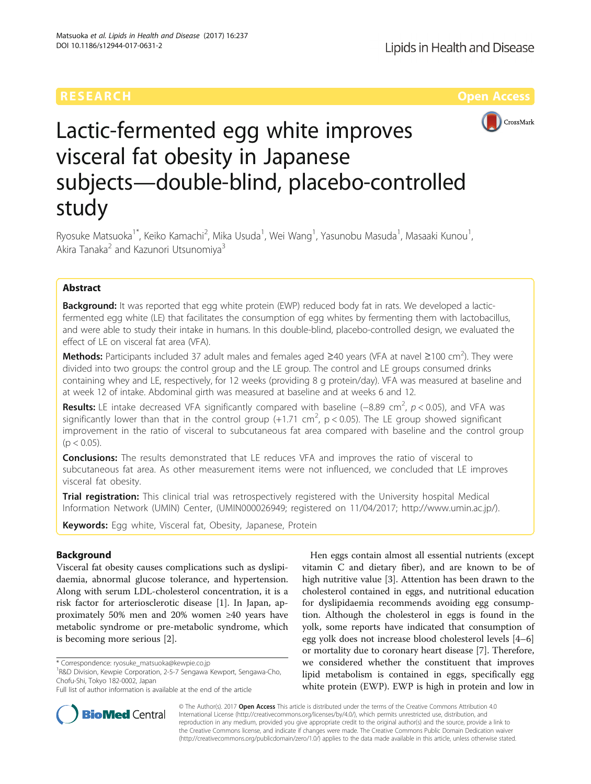## RESEARCH **RESEARCH CONSUMING THE CONSUMING THE CONSUMING TENS**



# Lactic-fermented egg white improves visceral fat obesity in Japanese subjects—double-blind, placebo-controlled study

Ryosuke Matsuoka<sup>1\*</sup>, Keiko Kamachi<sup>2</sup>, Mika Usuda<sup>1</sup>, Wei Wang<sup>1</sup>, Yasunobu Masuda<sup>1</sup>, Masaaki Kunou<sup>1</sup> , Akira Tanaka<sup>2</sup> and Kazunori Utsunomiya<sup>3</sup>

## Abstract

**Background:** It was reported that egg white protein (EWP) reduced body fat in rats. We developed a lacticfermented egg white (LE) that facilitates the consumption of egg whites by fermenting them with lactobacillus, and were able to study their intake in humans. In this double-blind, placebo-controlled design, we evaluated the effect of LE on visceral fat area (VFA).

Methods: Participants included 37 adult males and females aged ≥40 years (VFA at navel ≥100 cm<sup>2</sup>). They were divided into two groups: the control group and the LE group. The control and LE groups consumed drinks containing whey and LE, respectively, for 12 weeks (providing 8 g protein/day). VFA was measured at baseline and at week 12 of intake. Abdominal girth was measured at baseline and at weeks 6 and 12.

Results: LE intake decreased VFA significantly compared with baseline (–8.89 cm<sup>2</sup>, p < 0.05), and VFA was significantly lower than that in the control group (+1.71 cm<sup>2</sup>, p < 0.05). The LE group showed significant improvement in the ratio of visceral to subcutaneous fat area compared with baseline and the control group  $(p < 0.05)$ .

**Conclusions:** The results demonstrated that LE reduces VFA and improves the ratio of visceral to subcutaneous fat area. As other measurement items were not influenced, we concluded that LE improves visceral fat obesity.

Trial registration: This clinical trial was retrospectively registered with the University hospital Medical Information Network (UMIN) Center, ([UMIN000026949;](https://upload.umin.ac.jp/cgi-open-bin/ctr/ctr_view.cgi?recptno=R000030810) registered on 11/04/2017; [http://www.umin.ac.jp/](http://www.umin.ac.jp)).

Keywords: Egg white, Visceral fat, Obesity, Japanese, Protein

## Background

Visceral fat obesity causes complications such as dyslipidaemia, abnormal glucose tolerance, and hypertension. Along with serum LDL-cholesterol concentration, it is a risk factor for arteriosclerotic disease [\[1\]](#page-8-0). In Japan, approximately 50% men and 20% women ≥40 years have metabolic syndrome or pre-metabolic syndrome, which is becoming more serious [[2\]](#page-8-0).

R&D Division, Kewpie Corporation, 2-5-7 Sengawa Kewport, Sengawa-Cho, Chofu-Shi, Tokyo 182-0002, Japan

Hen eggs contain almost all essential nutrients (except vitamin C and dietary fiber), and are known to be of high nutritive value [[3\]](#page-8-0). Attention has been drawn to the cholesterol contained in eggs, and nutritional education for dyslipidaemia recommends avoiding egg consumption. Although the cholesterol in eggs is found in the yolk, some reports have indicated that consumption of egg yolk does not increase blood cholesterol levels [[4](#page-8-0)–[6](#page-8-0)] or mortality due to coronary heart disease [\[7\]](#page-8-0). Therefore, we considered whether the constituent that improves lipid metabolism is contained in eggs, specifically egg white protein (EWP). EWP is high in protein and low in



© The Author(s). 2017 Open Access This article is distributed under the terms of the Creative Commons Attribution 4.0 International License [\(http://creativecommons.org/licenses/by/4.0/](http://creativecommons.org/licenses/by/4.0/)), which permits unrestricted use, distribution, and reproduction in any medium, provided you give appropriate credit to the original author(s) and the source, provide a link to the Creative Commons license, and indicate if changes were made. The Creative Commons Public Domain Dedication waiver [\(http://creativecommons.org/publicdomain/zero/1.0/](http://creativecommons.org/publicdomain/zero/1.0/)) applies to the data made available in this article, unless otherwise stated.

<sup>\*</sup> Correspondence: [ryosuke\\_matsuoka@kewpie.co.jp](mailto:ryosuke_matsuoka@kewpie.co.jp) <sup>1</sup>

Full list of author information is available at the end of the article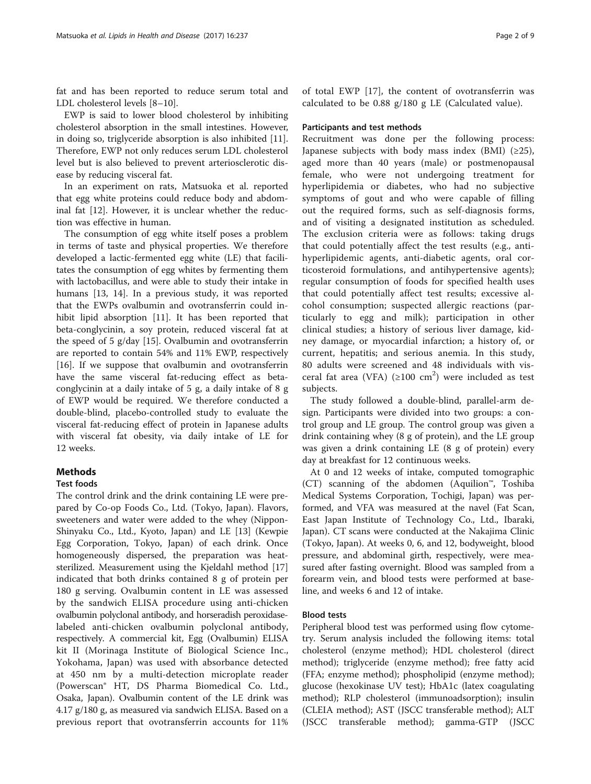fat and has been reported to reduce serum total and LDL cholesterol levels [[8](#page-8-0)–[10](#page-8-0)].

EWP is said to lower blood cholesterol by inhibiting cholesterol absorption in the small intestines. However, in doing so, triglyceride absorption is also inhibited [\[11](#page-8-0)]. Therefore, EWP not only reduces serum LDL cholesterol level but is also believed to prevent arteriosclerotic disease by reducing visceral fat.

In an experiment on rats, Matsuoka et al. reported that egg white proteins could reduce body and abdominal fat [[12](#page-8-0)]. However, it is unclear whether the reduction was effective in human.

The consumption of egg white itself poses a problem in terms of taste and physical properties. We therefore developed a lactic-fermented egg white (LE) that facilitates the consumption of egg whites by fermenting them with lactobacillus, and were able to study their intake in humans [\[13, 14\]](#page-8-0). In a previous study, it was reported that the EWPs ovalbumin and ovotransferrin could inhibit lipid absorption [\[11\]](#page-8-0). It has been reported that beta-conglycinin, a soy protein, reduced visceral fat at the speed of 5 g/day [\[15\]](#page-8-0). Ovalbumin and ovotransferrin are reported to contain 54% and 11% EWP, respectively [[16\]](#page-8-0). If we suppose that ovalbumin and ovotransferrin have the same visceral fat-reducing effect as betaconglycinin at a daily intake of 5 g, a daily intake of 8 g of EWP would be required. We therefore conducted a double-blind, placebo-controlled study to evaluate the visceral fat-reducing effect of protein in Japanese adults with visceral fat obesity, via daily intake of LE for 12 weeks.

## Methods

### Test foods

The control drink and the drink containing LE were prepared by Co-op Foods Co., Ltd. (Tokyo, Japan). Flavors, sweeteners and water were added to the whey (Nippon-Shinyaku Co., Ltd., Kyoto, Japan) and LE [\[13\]](#page-8-0) (Kewpie Egg Corporation, Tokyo, Japan) of each drink. Once homogeneously dispersed, the preparation was heatsterilized. Measurement using the Kjeldahl method [[17](#page-8-0)] indicated that both drinks contained 8 g of protein per 180 g serving. Ovalbumin content in LE was assessed by the sandwich ELISA procedure using anti-chicken ovalbumin polyclonal antibody, and horseradish peroxidaselabeled anti-chicken ovalbumin polyclonal antibody, respectively. A commercial kit, Egg (Ovalbumin) ELISA kit II (Morinaga Institute of Biological Science Inc., Yokohama, Japan) was used with absorbance detected at 450 nm by a multi-detection microplate reader (Powerscan® HT, DS Pharma Biomedical Co. Ltd., Osaka, Japan). Ovalbumin content of the LE drink was 4.17 g/180 g, as measured via sandwich ELISA. Based on a previous report that ovotransferrin accounts for 11%

of total EWP [[17\]](#page-8-0), the content of ovotransferrin was calculated to be 0.88 g/180 g LE (Calculated value).

#### Participants and test methods

Recruitment was done per the following process: Japanese subjects with body mass index (BMI)  $(\geq 25)$ , aged more than 40 years (male) or postmenopausal female, who were not undergoing treatment for hyperlipidemia or diabetes, who had no subjective symptoms of gout and who were capable of filling out the required forms, such as self-diagnosis forms, and of visiting a designated institution as scheduled. The exclusion criteria were as follows: taking drugs that could potentially affect the test results (e.g., antihyperlipidemic agents, anti-diabetic agents, oral corticosteroid formulations, and antihypertensive agents); regular consumption of foods for specified health uses that could potentially affect test results; excessive alcohol consumption; suspected allergic reactions (particularly to egg and milk); participation in other clinical studies; a history of serious liver damage, kidney damage, or myocardial infarction; a history of, or current, hepatitis; and serious anemia. In this study, 80 adults were screened and 48 individuals with visceral fat area (VFA) ( $\geq$ 100 cm<sup>2</sup>) were included as test subjects.

The study followed a double-blind, parallel-arm design. Participants were divided into two groups: a control group and LE group. The control group was given a drink containing whey (8 g of protein), and the LE group was given a drink containing LE (8 g of protein) every day at breakfast for 12 continuous weeks.

At 0 and 12 weeks of intake, computed tomographic (CT) scanning of the abdomen (Aquilion™, Toshiba Medical Systems Corporation, Tochigi, Japan) was performed, and VFA was measured at the navel (Fat Scan, East Japan Institute of Technology Co., Ltd., Ibaraki, Japan). CT scans were conducted at the Nakajima Clinic (Tokyo, Japan). At weeks 0, 6, and 12, bodyweight, blood pressure, and abdominal girth, respectively, were measured after fasting overnight. Blood was sampled from a forearm vein, and blood tests were performed at baseline, and weeks 6 and 12 of intake.

## Blood tests

Peripheral blood test was performed using flow cytometry. Serum analysis included the following items: total cholesterol (enzyme method); HDL cholesterol (direct method); triglyceride (enzyme method); free fatty acid (FFA; enzyme method); phospholipid (enzyme method); glucose (hexokinase UV test); HbA1c (latex coagulating method); RLP cholesterol (immunoadsorption); insulin (CLEIA method); AST (JSCC transferable method); ALT (JSCC transferable method); gamma-GTP (JSCC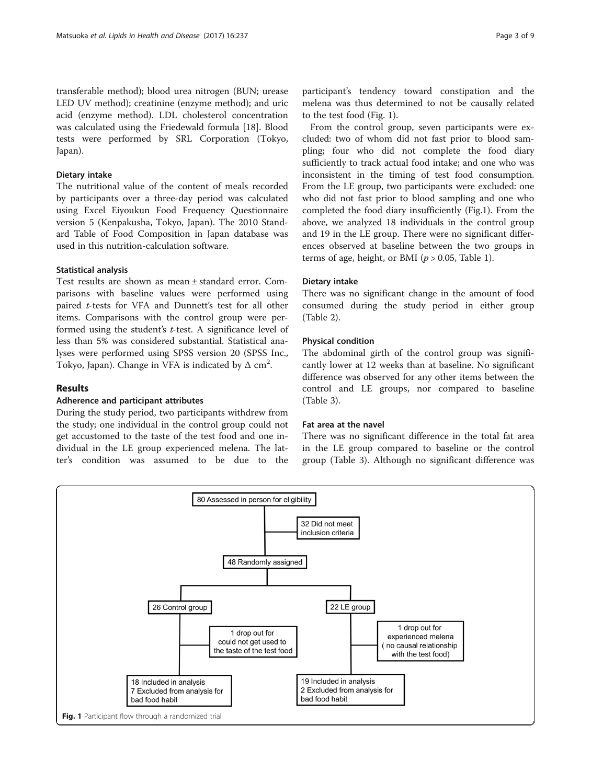transferable method); blood urea nitrogen (BUN; urease LED UV method); creatinine (enzyme method); and uric acid (enzyme method). LDL cholesterol concentration was calculated using the Friedewald formula [\[18\]](#page-8-0). Blood tests were performed by SRL Corporation (Tokyo, Japan).

#### Dietary intake

The nutritional value of the content of meals recorded by participants over a three-day period was calculated using Excel Eiyoukun Food Frequency Questionnaire version 5 (Kenpakusha, Tokyo, Japan). The 2010 Standard Table of Food Composition in Japan database was used in this nutrition-calculation software.

## Statistical analysis

Test results are shown as mean ± standard error. Comparisons with baseline values were performed using paired t-tests for VFA and Dunnett's test for all other items. Comparisons with the control group were performed using the student's t-test. A significance level of less than 5% was considered substantial. Statistical analyses were performed using SPSS version 20 (SPSS Inc., Tokyo, Japan). Change in VFA is indicated by  $\Delta$  cm<sup>2</sup>.

## Results

## Adherence and participant attributes

During the study period, two participants withdrew from the study; one individual in the control group could not get accustomed to the taste of the test food and one individual in the LE group experienced melena. The latter's condition was assumed to be due to the

participant's tendency toward constipation and the melena was thus determined to not be causally related to the test food (Fig. 1).

From the control group, seven participants were excluded: two of whom did not fast prior to blood sampling; four who did not complete the food diary sufficiently to track actual food intake; and one who was inconsistent in the timing of test food consumption. From the LE group, two participants were excluded: one who did not fast prior to blood sampling and one who completed the food diary insufficiently (Fig.1). From the above, we analyzed 18 individuals in the control group and 19 in the LE group. There were no significant differences observed at baseline between the two groups in terms of age, height, or BMI ( $p > 0.05$ , Table [1\)](#page-3-0).

#### Dietary intake

There was no significant change in the amount of food consumed during the study period in either group (Table [2\)](#page-3-0).

#### Physical condition

The abdominal girth of the control group was significantly lower at 12 weeks than at baseline. No significant difference was observed for any other items between the control and LE groups, nor compared to baseline (Table [3\)](#page-4-0).

## Fat area at the navel

There was no significant difference in the total fat area in the LE group compared to baseline or the control group (Table [3](#page-4-0)). Although no significant difference was

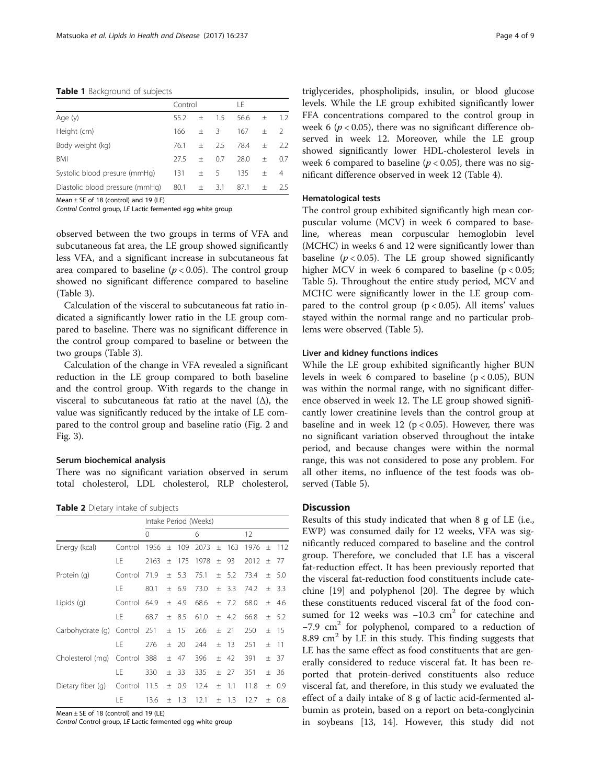#### <span id="page-3-0"></span>Table 1 Background of subjects

|                                 | Control |         |     | ΙF   |        |                          |
|---------------------------------|---------|---------|-----|------|--------|--------------------------|
| Age (y)                         | 55.2    | $^{+}$  | 15  | 56.6 | $^{+}$ | -1.2                     |
| Height (cm)                     | 166     | $+$ 3   |     | 167  | $+$    | $\overline{\phantom{a}}$ |
| Body weight (kg)                | 76.1    | $+$     | 2.5 | 78.4 | $+$    | 22                       |
| BMI                             | 275     | $+$     | 0.7 | 28.0 | $^{+}$ | 0.7                      |
| Systolic blood presure (mmHg)   | 131     | $\pm$ 5 |     | 135  | $+$    | 4                        |
| Diastolic blood pressure (mmHg) | 80.1    | 土       | 3.1 | 87.1 | $^{+}$ | 25                       |

Mean  $\pm$  SE of 18 (control) and 19 (LE)

Control Control group, LE Lactic fermented egg white group

observed between the two groups in terms of VFA and subcutaneous fat area, the LE group showed significantly less VFA, and a significant increase in subcutaneous fat area compared to baseline ( $p < 0.05$ ). The control group showed no significant difference compared to baseline (Table [3\)](#page-4-0).

Calculation of the visceral to subcutaneous fat ratio indicated a significantly lower ratio in the LE group compared to baseline. There was no significant difference in the control group compared to baseline or between the two groups (Table [3\)](#page-4-0).

Calculation of the change in VFA revealed a significant reduction in the LE group compared to both baseline and the control group. With regards to the change in visceral to subcutaneous fat ratio at the navel  $(\Delta)$ , the value was significantly reduced by the intake of LE compared to the control group and baseline ratio (Fig. [2](#page-4-0) and Fig. [3](#page-5-0)).

#### Serum biochemical analysis

There was no significant variation observed in serum total cholesterol, LDL cholesterol, RLP cholesterol,

**Table 2** Dietary intake of subjects

|                          |              | Intake Period (Weeks) |       |        |                |        |         |      |        |           |
|--------------------------|--------------|-----------------------|-------|--------|----------------|--------|---------|------|--------|-----------|
|                          |              | 0                     |       |        | 6              |        |         | 12   |        |           |
| Energy (kcal)            | Control      | 1956                  | $\pm$ | 109    | $2073 \pm 163$ |        |         | 1976 |        | $\pm$ 112 |
|                          | LE           | 2163                  | $\pm$ | 175    | 1978           | $\pm$  | 93      | 2012 | $\pm$  | 77        |
| Protein (g)              | Control      | 71.9                  |       | ± 5.3  | 75.1           |        | ± 5.2   | 73.4 |        | ± 5.0     |
|                          | LE           | 80.1                  |       | ±6.9   | 73.0           |        | $±$ 3.3 | 74.2 | $\pm$  | - 3.3     |
| Lipids (q)               | Control 64.9 |                       | $\pm$ | 4.9    | 68.6           | $\pm$  | 7.2     | 68.0 | 土      | 4.6       |
|                          | LE           | 68.7                  |       | ± 8.5  | 61.0           |        | ± 4.2   | 66.8 |        | ± 5.2     |
| Carbohydrate (g) Control |              | 251                   |       | $±$ 15 | 266            |        | ± 21    | 250  |        | $±$ 15    |
|                          | LE           | 276                   | $\pm$ | 20     | 244            | $\pm$  | - 13    | 251  | $\pm$  | 11        |
| Cholesterol (mg) Control |              | 388                   |       | ± 47   | 396            | $\pm$  | 42      | 391  |        | ± 37      |
|                          | LE           | 330                   |       | ± 33   | 335            | $\pm$  | 27      | 351  |        | $±$ 36    |
| Dietary fiber (q)        | Control      | 11.5                  | $\pm$ | 0.9    | 12.4           | 土      | 1.1     | 11.8 | $\pm$  | 0.9       |
|                          | LE           | 13.6                  | 土     | 1.3    | 12.1           | $^{+}$ | 1.3     | 12.7 | $^{+}$ | 0.8       |

Mean  $\pm$  SE of 18 (control) and 19 (LE)

Control Control group, LE Lactic fermented egg white group

triglycerides, phospholipids, insulin, or blood glucose levels. While the LE group exhibited significantly lower FFA concentrations compared to the control group in week 6 ( $p < 0.05$ ), there was no significant difference observed in week 12. Moreover, while the LE group showed significantly lower HDL-cholesterol levels in week 6 compared to baseline ( $p < 0.05$ ), there was no significant difference observed in week 12 (Table [4](#page-5-0)).

#### Hematological tests

The control group exhibited significantly high mean corpuscular volume (MCV) in week 6 compared to baseline, whereas mean corpuscular hemoglobin level (MCHC) in weeks 6 and 12 were significantly lower than baseline ( $p < 0.05$ ). The LE group showed significantly higher MCV in week 6 compared to baseline  $(p < 0.05$ ; Table [5](#page-6-0)). Throughout the entire study period, MCV and MCHC were significantly lower in the LE group compared to the control group  $(p < 0.05)$ . All items' values stayed within the normal range and no particular problems were observed (Table [5\)](#page-6-0).

## Liver and kidney functions indices

While the LE group exhibited significantly higher BUN levels in week 6 compared to baseline  $(p < 0.05)$ , BUN was within the normal range, with no significant difference observed in week 12. The LE group showed significantly lower creatinine levels than the control group at baseline and in week 12 ( $p < 0.05$ ). However, there was no significant variation observed throughout the intake period, and because changes were within the normal range, this was not considered to pose any problem. For all other items, no influence of the test foods was observed (Table [5](#page-6-0)).

## **Discussion**

Results of this study indicated that when 8 g of LE (i.e., EWP) was consumed daily for 12 weeks, VFA was significantly reduced compared to baseline and the control group. Therefore, we concluded that LE has a visceral fat-reduction effect. It has been previously reported that the visceral fat-reduction food constituents include catechine [[19\]](#page-8-0) and polyphenol [[20](#page-8-0)]. The degree by which these constituents reduced visceral fat of the food consumed for 12 weeks was  $-10.3$  cm<sup>2</sup> for catechine and −7.9 cm<sup>2</sup> for polyphenol, compared to a reduction of 8.89  $\text{cm}^2$  by LE in this study. This finding suggests that LE has the same effect as food constituents that are generally considered to reduce visceral fat. It has been reported that protein-derived constituents also reduce visceral fat, and therefore, in this study we evaluated the effect of a daily intake of 8 g of lactic acid-fermented albumin as protein, based on a report on beta-conglycinin in soybeans [[13, 14\]](#page-8-0). However, this study did not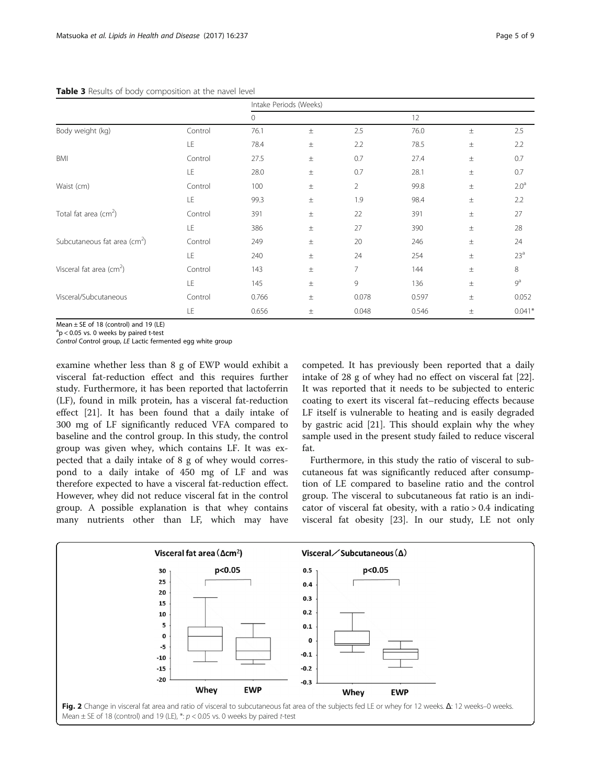|                                          |         |         | Intake Periods (Weeks) |                |      |       |                  |
|------------------------------------------|---------|---------|------------------------|----------------|------|-------|------------------|
|                                          |         | $\circ$ |                        |                | 12   |       |                  |
| Body weight (kg)                         | Control | 76.1    | $\pm$                  | 2.5            | 76.0 | $\pm$ | 2.5              |
|                                          | LE.     | 78.4    | $\pm$                  | 2.2            | 78.5 | Ŧ     | 2.2              |
| BMI                                      | Control | 27.5    | 士                      | 0.7            | 27.4 | Ŧ     | 0.7              |
|                                          | LE      | 28.0    | $\pm$                  | 0.7            | 28.1 | $\pm$ | 0.7              |
| Waist (cm)                               | Control | 100     | $\pm$                  | $\overline{2}$ | 99.8 | $\pm$ | 2.0 <sup>°</sup> |
|                                          | LE      | 99.3    | 土                      | 1.9            | 98.4 | $\pm$ | 2.2              |
| Total fat area $\text{(cm}^2\text{)}$    | Control | 391     | $\pm$                  | 22             | 391  | $\pm$ | 27               |
|                                          | LE.     | 386     | $\pm$                  | 27             | 390  | $\pm$ | 28               |
| Subcutaneous fat area (cm <sup>2</sup> ) | Control | 249     | $\pm$                  | 20             | 246  | Ŧ     | 24               |
|                                          | LE      | 240     | $\pm$                  | 24             | 254  | $\pm$ | 23 <sup>a</sup>  |

Visceral/Subcutaneous Control 0.766  $\pm$  0.078 0.597  $\pm$  0.052

) Control 143  $\pm$  7 144  $\pm$  8

LE 145  $\pm$  9 136  $\pm$  9<sup>a</sup>

LE 0.656 ± 0.048 0.546 ± 0.041\*

## <span id="page-4-0"></span>Table 3 Results of body composition at the navel level

Mean  $\pm$  SE of 18 (control) and 19 (LE)

Visceral fat area  $\text{(cm}^2\text{)}$ 

 $a^{\text{b}}$   $p$  < 0.05 vs. 0 weeks by paired t-test

Control Control group, LE Lactic fermented egg white group

examine whether less than 8 g of EWP would exhibit a visceral fat-reduction effect and this requires further study. Furthermore, it has been reported that lactoferrin (LF), found in milk protein, has a visceral fat-reduction effect [[21\]](#page-8-0). It has been found that a daily intake of 300 mg of LF significantly reduced VFA compared to baseline and the control group. In this study, the control group was given whey, which contains LF. It was expected that a daily intake of 8 g of whey would correspond to a daily intake of 450 mg of LF and was therefore expected to have a visceral fat-reduction effect. However, whey did not reduce visceral fat in the control group. A possible explanation is that whey contains many nutrients other than LF, which may have

competed. It has previously been reported that a daily intake of 28 g of whey had no effect on visceral fat [\[22](#page-8-0)]. It was reported that it needs to be subjected to enteric coating to exert its visceral fat–reducing effects because LF itself is vulnerable to heating and is easily degraded by gastric acid [\[21](#page-8-0)]. This should explain why the whey sample used in the present study failed to reduce visceral fat.

Furthermore, in this study the ratio of visceral to subcutaneous fat was significantly reduced after consumption of LE compared to baseline ratio and the control group. The visceral to subcutaneous fat ratio is an indicator of visceral fat obesity, with a ratio > 0.4 indicating visceral fat obesity [\[23](#page-8-0)]. In our study, LE not only

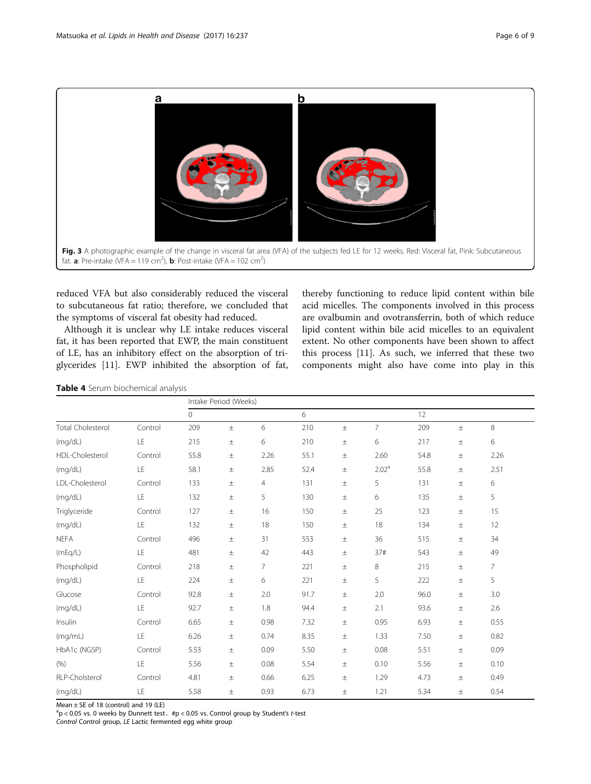<span id="page-5-0"></span>

reduced VFA but also considerably reduced the visceral to subcutaneous fat ratio; therefore, we concluded that the symptoms of visceral fat obesity had reduced.

Although it is unclear why LE intake reduces visceral fat, it has been reported that EWP, the main constituent of LE, has an inhibitory effect on the absorption of triglycerides [[11\]](#page-8-0). EWP inhibited the absorption of fat,

thereby functioning to reduce lipid content within bile acid micelles. The components involved in this process are ovalbumin and ovotransferrin, both of which reduce lipid content within bile acid micelles to an equivalent extent. No other components have been shown to affect this process [[11](#page-8-0)]. As such, we inferred that these two components might also have come into play in this

|                          |         |         | Intake Period (Weeks) |      |      |       |                   |      |       |                |  |
|--------------------------|---------|---------|-----------------------|------|------|-------|-------------------|------|-------|----------------|--|
|                          |         | $\circ$ |                       |      | 6    |       |                   | 12   |       |                |  |
| <b>Total Cholesterol</b> | Control | 209     | $\pm$                 | 6    | 210  | $\pm$ | $\overline{7}$    | 209  | $\pm$ | 8              |  |
| (mg/dL)                  | LE      | 215     | $\pm$                 | 6    | 210  | $\pm$ | 6                 | 217  | 土     | 6              |  |
| HDL-Cholesterol          | Control | 55.8    | $\pm$                 | 2.26 | 55.1 | $\pm$ | 2.60              | 54.8 | $\pm$ | 2.26           |  |
| (mq/dL)                  | LE      | 58.1    | $\pm$                 | 2.85 | 52.4 | $\pm$ | 2.02 <sup>a</sup> | 55.8 | $\pm$ | 2.51           |  |
| LDL-Cholesterol          | Control | 133     | $\pm$                 | 4    | 131  | $\pm$ | 5                 | 131  | $\pm$ | 6              |  |
| (mg/dL)                  | LE      | 132     | $\pm$                 | 5    | 130  | $\pm$ | 6                 | 135  | $\pm$ | 5              |  |
| Triglyceride             | Control | 127     | $\pm$                 | 16   | 150  | $\pm$ | 25                | 123  | 土     | 15             |  |
| (mg/dL)                  | LE.     | 132     | $\pm$                 | 18   | 150  | $\pm$ | 18                | 134  | $\pm$ | 12             |  |
| <b>NEFA</b>              | Control | 496     | $\pm$                 | 31   | 553  | $\pm$ | 36                | 515  | $\pm$ | 34             |  |
| (mEq/L)                  | LE.     | 481     | $\pm$                 | 42   | 443  | $\pm$ | 37#               | 543  | $\pm$ | 49             |  |
| Phospholipid             | Control | 218     | $\pm$                 | 7    | 221  | $\pm$ | 8                 | 215  | $\pm$ | $\overline{7}$ |  |
| (mg/dL)                  | LE      | 224     | $\pm$                 | 6    | 221  | $\pm$ | 5                 | 222  | $\pm$ | 5              |  |
| Glucose                  | Control | 92.8    | $\pm$                 | 2.0  | 91.7 | $\pm$ | 2.0               | 96.0 | $\pm$ | 3.0            |  |
| (mq/dL)                  | LE      | 92.7    | $\pm$                 | 1.8  | 94.4 | $\pm$ | 2.1               | 93.6 | 土     | 2.6            |  |
| Insulin                  | Control | 6.65    | $\pm$                 | 0.98 | 7.32 | $\pm$ | 0.95              | 6.93 | $\pm$ | 0.55           |  |
| (mg/mL)                  | LE      | 6.26    | $\pm$                 | 0.74 | 8.35 | $\pm$ | 1.33              | 7.50 | 土     | 0.82           |  |
| HbA1c (NGSP)             | Control | 5.53    | $\pm$                 | 0.09 | 5.50 | $\pm$ | 0.08              | 5.51 | $\pm$ | 0.09           |  |
| (% )                     | LE      | 5.56    | $\pm$                 | 0.08 | 5.54 | $\pm$ | 0.10              | 5.56 | $\pm$ | 0.10           |  |
| RLP-Cholsterol           | Control | 4.81    | $\pm$                 | 0.66 | 6.25 | $\pm$ | 1.29              | 4.73 | 土     | 0.49           |  |
| (mg/dL)                  | LE      | 5.58    | $\pm$                 | 0.93 | 6.73 | $\pm$ | 1.21              | 5.34 | 土     | 0.54           |  |

Mean ± SE of 18 (control) and 19 (LE)

 $a^2$ p < 0.05 vs. 0 weeks by Dunnett test、#p < 0.05 vs. Control group by Student's t-test

Control Control group, LE Lactic fermented egg white group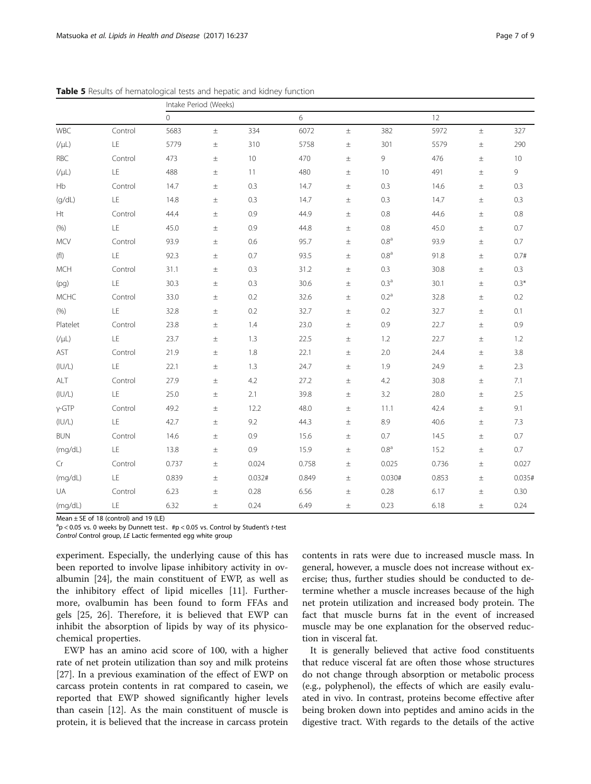|                |         | Intake Period (Weeks) |       |         |       |       |                  |       |       |        |  |
|----------------|---------|-----------------------|-------|---------|-------|-------|------------------|-------|-------|--------|--|
|                |         | $\overline{0}$        |       |         | 6     |       |                  | 12    |       |        |  |
| WBC            | Control | 5683                  | $\pm$ | 334     | 6072  | $\pm$ | 382              | 5972  | $\pm$ | 327    |  |
| $(V\mu L)$     | LE      | 5779                  | $\pm$ | 310     | 5758  | $\pm$ | 301              | 5579  | $\pm$ | 290    |  |
| <b>RBC</b>     | Control | 473                   | $\pm$ | 10      | 470   | $\pm$ | 9                | 476   | $\pm$ | 10     |  |
| $(V\mu L)$     | LE      | 488                   | $\pm$ | 11      | 480   | $\pm$ | 10               | 491   | $\pm$ | 9      |  |
| Hb             | Control | 14.7                  | $\pm$ | 0.3     | 14.7  | $\pm$ | 0.3              | 14.6  | $\pm$ | 0.3    |  |
| (g/dL)         | LE.     | 14.8                  | $\pm$ | 0.3     | 14.7  | $\pm$ | 0.3              | 14.7  | $\pm$ | 0.3    |  |
| Ht             | Control | 44.4                  | $\pm$ | 0.9     | 44.9  | $\pm$ | $0.8\,$          | 44.6  | $\pm$ | 0.8    |  |
| (% )           | LE.     | 45.0                  | $\pm$ | 0.9     | 44.8  | $\pm$ | 0.8              | 45.0  | $\pm$ | 0.7    |  |
| $\textsf{MCV}$ | Control | 93.9                  | $\pm$ | $0.6\,$ | 95.7  | $\pm$ | 0.8 <sup>a</sup> | 93.9  | $\pm$ | 0.7    |  |
| (f )           | LE      | 92.3                  | $\pm$ | 0.7     | 93.5  | $\pm$ | 0.8 <sup>a</sup> | 91.8  | $\pm$ | 0.7#   |  |
| MCH            | Control | 31.1                  | $\pm$ | 0.3     | 31.2  | $\pm$ | 0.3              | 30.8  | $\pm$ | 0.3    |  |
| (pg)           | LE.     | 30.3                  | $\pm$ | 0.3     | 30.6  | $\pm$ | 0.3 <sup>a</sup> | 30.1  | $\pm$ | $0.3*$ |  |
| MCHC           | Control | 33.0                  | $\pm$ | 0.2     | 32.6  | $\pm$ | 0.2 <sup>a</sup> | 32.8  | $\pm$ | 0.2    |  |
| (% )           | LE      | 32.8                  | $\pm$ | $0.2\,$ | 32.7  | $\pm$ | $0.2\,$          | 32.7  | $\pm$ | 0.1    |  |
| Platelet       | Control | 23.8                  | $\pm$ | 1.4     | 23.0  | $\pm$ | 0.9              | 22.7  | $\pm$ | 0.9    |  |
| $(V\mu L)$     | LE.     | 23.7                  | $\pm$ | 1.3     | 22.5  | $\pm$ | 1.2              | 22.7  | $\pm$ | 1.2    |  |
| AST            | Control | 21.9                  | $\pm$ | 1.8     | 22.1  | $\pm$ | 2.0              | 24.4  | $\pm$ | 3.8    |  |
| (IU/L)         | LE      | 22.1                  | $\pm$ | 1.3     | 24.7  | $\pm$ | 1.9              | 24.9  | $\pm$ | 2.3    |  |
| ALT            | Control | 27.9                  | $\pm$ | 4.2     | 27.2  | $\pm$ | 4.2              | 30.8  | $\pm$ | 7.1    |  |
| (IU/L)         | LE.     | 25.0                  | $\pm$ | 2.1     | 39.8  | $\pm$ | 3.2              | 28.0  | $\pm$ | 2.5    |  |
| $Y$ -GTP       | Control | 49.2                  | $\pm$ | 12.2    | 48.0  | $\pm$ | 11.1             | 42.4  | $\pm$ | 9.1    |  |
| (IU/L)         | LE      | 42.7                  | $\pm$ | 9.2     | 44.3  | $\pm$ | 8.9              | 40.6  | $\pm$ | 7.3    |  |
| <b>BUN</b>     | Control | 14.6                  | $\pm$ | 0.9     | 15.6  | $\pm$ | 0.7              | 14.5  | $\pm$ | 0.7    |  |
| (mg/dL)        | LE.     | 13.8                  | $\pm$ | 0.9     | 15.9  | $\pm$ | $0.8^{\rm a}$    | 15.2  | $\pm$ | 0.7    |  |
| Cr             | Control | 0.737                 | $\pm$ | 0.024   | 0.758 | $\pm$ | 0.025            | 0.736 | $\pm$ | 0.027  |  |
| (mq/dL)        | LE.     | 0.839                 | $\pm$ | 0.032#  | 0.849 | $\pm$ | 0.030#           | 0.853 | $\pm$ | 0.035# |  |
| UA             | Control | 6.23                  | $\pm$ | 0.28    | 6.56  | $\pm$ | 0.28             | 6.17  | $\pm$ | 0.30   |  |
| (mg/dL)        | LE      | 6.32                  | $\pm$ | 0.24    | 6.49  | $\pm$ | 0.23             | 6.18  | $\pm$ | 0.24   |  |

<span id="page-6-0"></span>Table 5 Results of hematological tests and hepatic and kidney function

Mean  $\pm$  SE of 18 (control) and 19 (LE)

 $a<sub>p</sub>$  < 0.05 vs. 0 weeks by Dunnett test、#p < 0.05 vs. Control by Student's t-test Control Control group, LE Lactic fermented egg white group

experiment. Especially, the underlying cause of this has been reported to involve lipase inhibitory activity in ovalbumin [[24\]](#page-8-0), the main constituent of EWP, as well as the inhibitory effect of lipid micelles [\[11](#page-8-0)]. Furthermore, ovalbumin has been found to form FFAs and gels [[25, 26](#page-8-0)]. Therefore, it is believed that EWP can inhibit the absorption of lipids by way of its physicochemical properties.

EWP has an amino acid score of 100, with a higher rate of net protein utilization than soy and milk proteins [[27\]](#page-8-0). In a previous examination of the effect of EWP on carcass protein contents in rat compared to casein, we reported that EWP showed significantly higher levels than casein [[12\]](#page-8-0). As the main constituent of muscle is protein, it is believed that the increase in carcass protein

contents in rats were due to increased muscle mass. In general, however, a muscle does not increase without exercise; thus, further studies should be conducted to determine whether a muscle increases because of the high net protein utilization and increased body protein. The fact that muscle burns fat in the event of increased muscle may be one explanation for the observed reduction in visceral fat.

It is generally believed that active food constituents that reduce visceral fat are often those whose structures do not change through absorption or metabolic process (e.g., polyphenol), the effects of which are easily evaluated in vivo. In contrast, proteins become effective after being broken down into peptides and amino acids in the digestive tract. With regards to the details of the active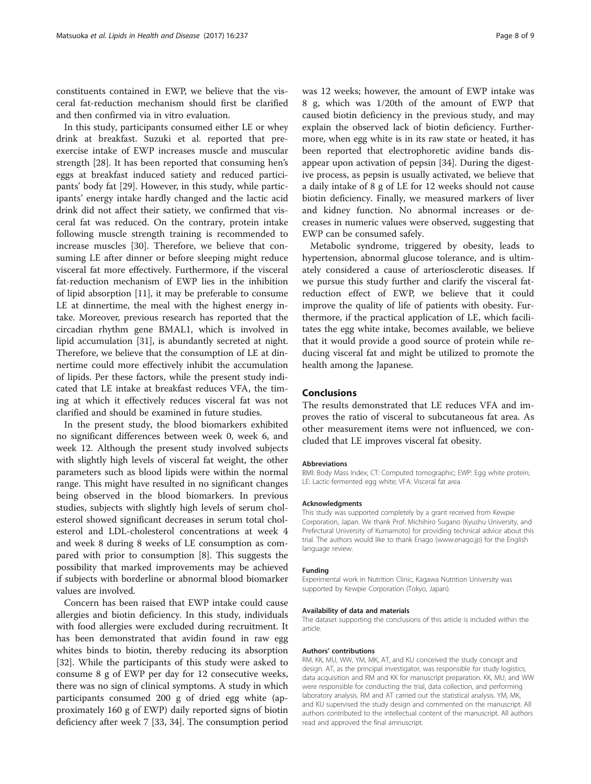constituents contained in EWP, we believe that the visceral fat-reduction mechanism should first be clarified and then confirmed via in vitro evaluation.

In this study, participants consumed either LE or whey drink at breakfast. Suzuki et al. reported that preexercise intake of EWP increases muscle and muscular strength [[28\]](#page-8-0). It has been reported that consuming hen's eggs at breakfast induced satiety and reduced participants' body fat [[29](#page-8-0)]. However, in this study, while participants' energy intake hardly changed and the lactic acid drink did not affect their satiety, we confirmed that visceral fat was reduced. On the contrary, protein intake following muscle strength training is recommended to increase muscles [\[30\]](#page-8-0). Therefore, we believe that consuming LE after dinner or before sleeping might reduce visceral fat more effectively. Furthermore, if the visceral fat-reduction mechanism of EWP lies in the inhibition of lipid absorption [[11\]](#page-8-0), it may be preferable to consume LE at dinnertime, the meal with the highest energy intake. Moreover, previous research has reported that the circadian rhythm gene BMAL1, which is involved in lipid accumulation [[31](#page-8-0)], is abundantly secreted at night. Therefore, we believe that the consumption of LE at dinnertime could more effectively inhibit the accumulation of lipids. Per these factors, while the present study indicated that LE intake at breakfast reduces VFA, the timing at which it effectively reduces visceral fat was not clarified and should be examined in future studies.

In the present study, the blood biomarkers exhibited no significant differences between week 0, week 6, and week 12. Although the present study involved subjects with slightly high levels of visceral fat weight, the other parameters such as blood lipids were within the normal range. This might have resulted in no significant changes being observed in the blood biomarkers. In previous studies, subjects with slightly high levels of serum cholesterol showed significant decreases in serum total cholesterol and LDL-cholesterol concentrations at week 4 and week 8 during 8 weeks of LE consumption as compared with prior to consumption [\[8](#page-8-0)]. This suggests the possibility that marked improvements may be achieved if subjects with borderline or abnormal blood biomarker values are involved.

Concern has been raised that EWP intake could cause allergies and biotin deficiency. In this study, individuals with food allergies were excluded during recruitment. It has been demonstrated that avidin found in raw egg whites binds to biotin, thereby reducing its absorption [[32\]](#page-8-0). While the participants of this study were asked to consume 8 g of EWP per day for 12 consecutive weeks, there was no sign of clinical symptoms. A study in which participants consumed 200 g of dried egg white (approximately 160 g of EWP) daily reported signs of biotin deficiency after week 7 [[33, 34\]](#page-8-0). The consumption period

was 12 weeks; however, the amount of EWP intake was 8 g, which was 1/20th of the amount of EWP that caused biotin deficiency in the previous study, and may explain the observed lack of biotin deficiency. Furthermore, when egg white is in its raw state or heated, it has been reported that electrophoretic avidine bands disappear upon activation of pepsin [\[34](#page-8-0)]. During the digestive process, as pepsin is usually activated, we believe that a daily intake of 8 g of LE for 12 weeks should not cause biotin deficiency. Finally, we measured markers of liver and kidney function. No abnormal increases or decreases in numeric values were observed, suggesting that EWP can be consumed safely.

Metabolic syndrome, triggered by obesity, leads to hypertension, abnormal glucose tolerance, and is ultimately considered a cause of arteriosclerotic diseases. If we pursue this study further and clarify the visceral fatreduction effect of EWP, we believe that it could improve the quality of life of patients with obesity. Furthermore, if the practical application of LE, which facilitates the egg white intake, becomes available, we believe that it would provide a good source of protein while reducing visceral fat and might be utilized to promote the health among the Japanese.

## Conclusions

The results demonstrated that LE reduces VFA and improves the ratio of visceral to subcutaneous fat area. As other measurement items were not influenced, we concluded that LE improves visceral fat obesity.

#### Abbreviations

BMI: Body Mass Index; CT: Computed tomographic; EWP: Egg white protein; LE: Lactic-fermented egg white; VFA: Visceral fat area

#### Acknowledgments

This study was supported completely by a grant received from Kewpie Corporation, Japan. We thank Prof. Michihiro Sugano (Kyushu University, and Prefectural University of Kumamoto) for providing technical advice about this trial. The authors would like to thank Enago ([www.enago.jp](http://www.enago.jp)) for the English language review.

#### Funding

Experimental work in Nutrition Clinic, Kagawa Nutrition University was supported by Kewpie Corporation (Tokyo, Japan).

#### Availability of data and materials

The dataset supporting the conclusions of this article is included within the article.

#### Authors' contributions

RM, KK, MU, WW, YM, MK, AT, and KU conceived the study concept and design. AT, as the principal investigator, was responsible for study logistics, data acquisition and RM and KK for manuscript preparation. KK, MU, and WW were responsible for conducting the trial, data collection, and performing laboratory analysis. RM and AT carried out the statistical analysis. YM, MK, and KU supervised the study design and commented on the manuscript. All authors contributed to the intellectual content of the manuscript. All authors read and approved the final amnuscript.